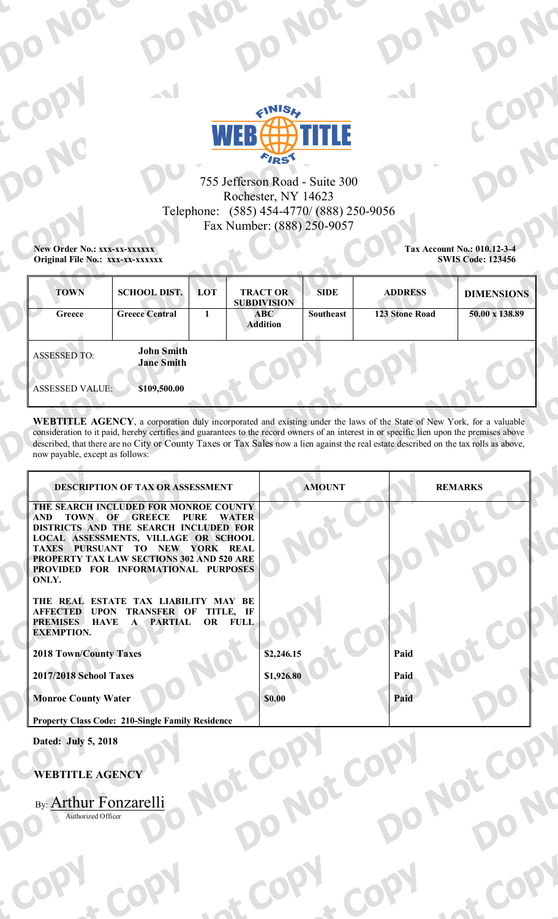

# 755 Jefferson Road - Suite 300 Rochester, NY 14623 Telephone: (585) 454-4770/ (888) 250-9056 Fax Number: (888) 250-9057

New Order No.: xxx-xx-xxxxxx Original File No.: xxx-xx-xxxxxx Tax Account No.: 010.12-3-4 **SWIS Code: 123456** 

| <b>TOWN</b><br>Greece                         | <b>SCHOOL DIST.</b><br><b>Greece Central</b>           | LOT | <b>TRACT OR</b><br><b>SUBDIVISION</b><br>ABC<br><b>Addition</b> | <b>SIDE</b><br><b>Southeast</b> | <b>ADDRESS</b><br><b>123 Stone Road</b> | <b>DIMENSIONS</b><br>50.00 x 138.89 |
|-----------------------------------------------|--------------------------------------------------------|-----|-----------------------------------------------------------------|---------------------------------|-----------------------------------------|-------------------------------------|
| <b>ASSESSED TO:</b><br><b>ASSESSED VALUE:</b> | <b>John Smith</b><br><b>Jane Smith</b><br>\$109,500.00 |     |                                                                 |                                 |                                         |                                     |
|                                               |                                                        |     |                                                                 |                                 |                                         |                                     |

WEBTITLE AGENCY, a corporation duly incorporated and existing under the laws of the State of New York, for a valuable consideration to it paid, hereby certifies and guarantees to the record owners of an interest in or specific lien upon the premises above described, that there are no City or County Taxes or Tax Sales now a lien against the real estate described on the tax rolls as above, now payable, except as follows:

 $\overline{\phantom{a}}$ 

lot Co

Not

| <b>DESCRIPTION OF TAX OR ASSESSMENT</b>                                                                           | <b>AMOUNT</b> | <b>REMARKS</b> |  |
|-------------------------------------------------------------------------------------------------------------------|---------------|----------------|--|
| THE SEARCH INCLUDED FOR MONROE COUNTY                                                                             |               |                |  |
| TOWN OF<br><b>GREECE</b><br><b>PURE</b><br><b>WATER</b><br><b>AND</b><br>DISTRICTS AND THE SEARCH INCLUDED FOR    |               |                |  |
| LOCAL ASSESSMENTS, VILLAGE OR SCHOOL                                                                              |               |                |  |
| PURSUANT<br>NEW YORK REAL<br><b>TAXES</b><br>TO                                                                   |               |                |  |
| PROPERTY TAX LAW SECTIONS 302 AND 520 ARE                                                                         |               |                |  |
| PROVIDED FOR INFORMATIONAL PURPOSES<br>ONLY.                                                                      |               |                |  |
|                                                                                                                   |               |                |  |
| THE REAL ESTATE TAX LIABILITY MAY BE                                                                              |               |                |  |
| <b>AFFECTED</b><br><b>UPON</b><br><b>TRANSFER OF</b><br>TITLE, IF                                                 |               |                |  |
| <b>FULL</b><br><b>HAVE</b><br><b>PARTIAL</b><br><b>OR</b><br><b>PREMISES</b><br>$\mathbf{A}$<br><b>EXEMPTION.</b> |               |                |  |
|                                                                                                                   |               |                |  |
| <b>2018 Town/County Taxes</b>                                                                                     | \$2,246.15    | Paid           |  |
|                                                                                                                   |               |                |  |
| 2017/2018 School Taxes                                                                                            | \$1,926.80    | Paid           |  |
| <b>Monroe County Water</b>                                                                                        | \$0.00        | Paid           |  |
|                                                                                                                   |               |                |  |
| <b>Property Class Code: 210-Single Family Residence</b>                                                           |               |                |  |
| Dated: July 5, 2018                                                                                               |               |                |  |

Not

 $\sim$ 

## **WEBTITLE AGENCY**

By: Arthur Fonzarelli Authorized Officer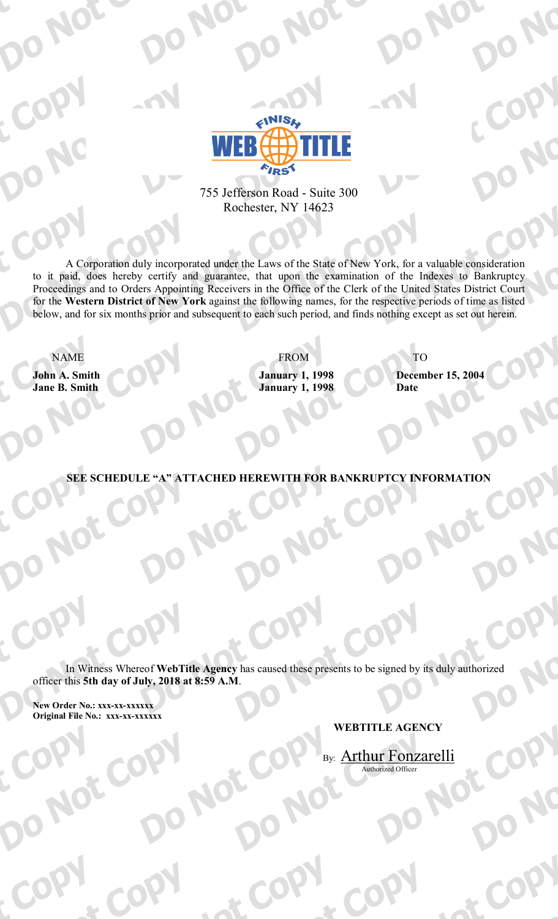

# 755 Jefferson Road - Suite 300 Rochester, NY 14623

A Corporation duly incorporated under the Laws of the State of New York, for a valuable consideration to it paid, does hereby certify and guarantee, that upon the examination of the Indexes to Bankruptcy Proceedings and to Orders Appointing Receivers in the Office of the Clerk of the United States District Court for the Western District of New York against the following names, for the respective periods of time as listed below, and for six months prior and subsequent to each such period, and finds nothing except as set out herein.

**NAME** 

John A. Smith **Jane B. Smith** 

**FROM January 1, 1998 January 1, 1998** 

**TO December 15, 2004 Date** 

**SEE SCHEDULE "A" ATTACHED HEREWITH FOR BANKRUPTCY INFORMATION** 

In Witness Whereof WebTitle Agency has caused these presents to be signed by its duly authorized officer this 5th day of July, 2018 at 8:59 A.M.

New Order No.: xxx-xx-xxxxxx Original File No.: xxx-xx-xxxxxx

# **WEBTITLE AGENCY**

By: Arthur Fonzarelli Authorized Officer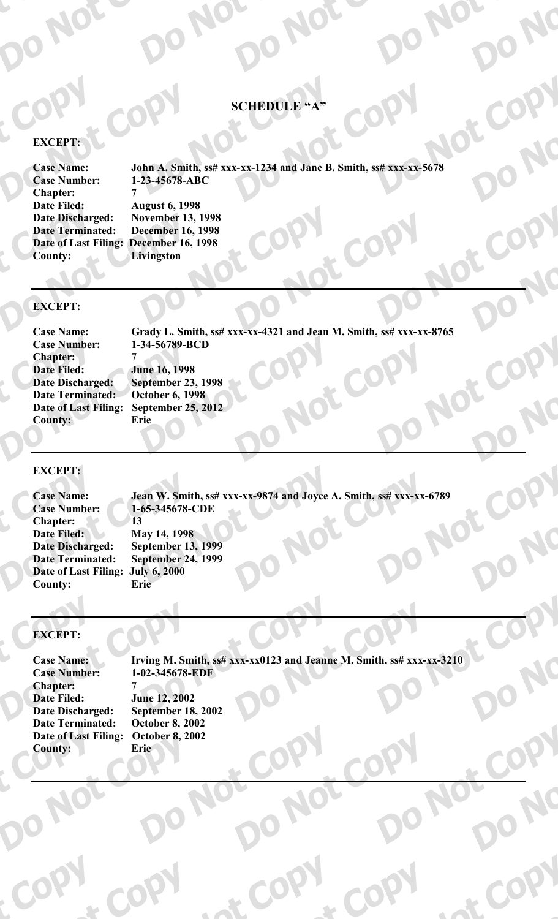## **SCHEDULE "A"**

## **EXCEPT:**

**Case Name: Case Number: Chapter:** Date Filed: **Date Discharged: Date Terminated: County:** 

John A. Smith, ss# xxx-xx-1234 and Jane B. Smith, ss# xxx-xx-5678 1-23-45678-ABC

**August 6, 1998 November 13, 1998 December 16, 1998** Date of Last Filing: December 16, 1998 Livingston

 $\overline{7}$ 

### **EXCEPT:**

**Case Name: Case Number: Chapter: Date Filed: Date Discharged: Date Terminated: Date of Last Filing:** County:

Grady L. Smith, ss# xxx-xx-4321 and Jean M. Smith, ss# xxx-xx-8765 1-34-56789-BCD 7 **June 16, 1998 September 23, 1998 October 6, 1998 September 25, 2012** Erie

IOT

#### **EXCEPT:**

Jean W. Smith, ss# xxx-xx-9874 and Joyce A. Smith, ss# xxx-xx-6789 **Case Name: Case Number:** 1-65-345678-CDE Chapter: 13 May 14, 1998 **Date Filed: Date Discharged: September 13, 1999 September 24, 1999 Date Terminated:** Date of Last Filing: July 6, 2000 **County:** Erie

### **EXCEPT:**

**Case Name: Case Number: Chapter: Date Filed: Date Discharged: Date Terminated:** Date of Last Filing: **County:** Erie

Irving M. Smith, ss# xxx-xx0123 and Jeanne M. Smith, ss# xxx-xx-3210 1-02-345678-EDF **June 12, 2002 September 18, 2002 October 8, 2002 October 8, 2002**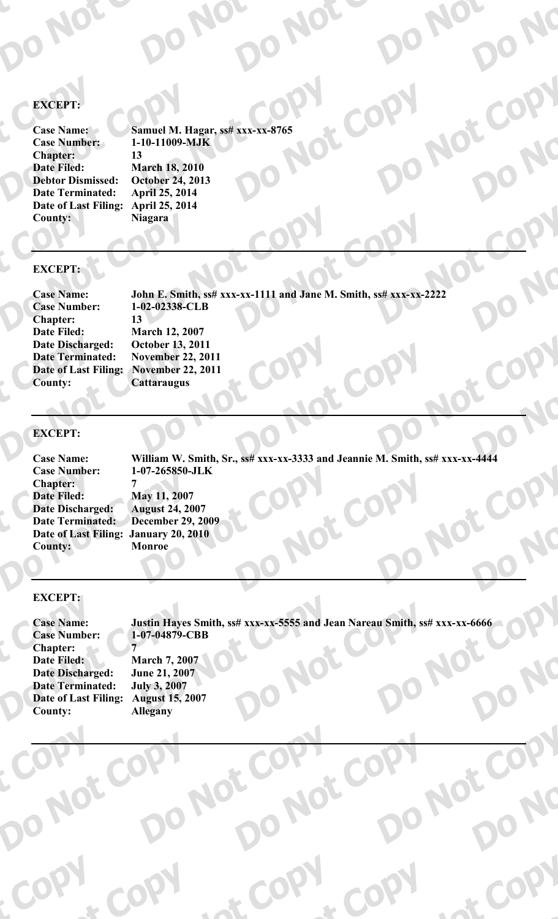# **EXCEPT:**

**Case Name: Case Number: Chapter:** Date Filed: **Debtor Dismissed: Date Terminated:** Date of Last Filing: **County:** 

Samuel M. Hagar, ss# xxx-xx-8765 1-10-11009-MJK  $13$ **March 18, 2010 October 24, 2013 April 25, 2014** April 25, 2014 **Niagara** 

### **EXCEPT:**

**Case Name: Case Number: Chapter: Date Filed: Date Discharged: Date Terminated:** Date of Last Filing: November 22, 2011 **County:** 

John E. Smith, ss# xxx-xx-1111 and Jane M. Smith, ss# xxx-xx-2222 1-02-02338-CLB 13 **March 12, 2007** October 13, 2011 **November 22, 2011 Cattaraugus** 

### **EXCEPT:**

**Case Name:** William W. Smith, Sr., ss# xxx-xx-3333 and Jeannie M. Smith, ss# xxx-xx-4444 1-07-265850-JLK **Case Number: Chapter:** 7 **Date Filed:** May 11, 2007 **Date Discharged: August 24, 2007** Date Terminated: **December 29, 2009** Date of Last Filing: January 20, 2010 Monroe **County:** 

### **EXCEPT:**

**Case Name: Case Number: Chapter:** Date Filed: **Date Discharged: Date Terminated: Date of Last Filing: County:** 

Justin Hayes Smith, ss# xxx-xx-5555 and Jean Nareau Smith, ss# xxx-xx-6666 1-07-04879-CBB 7

**March 7, 2007 June 21, 2007 July 3, 2007 August 15, 2007 Allegany**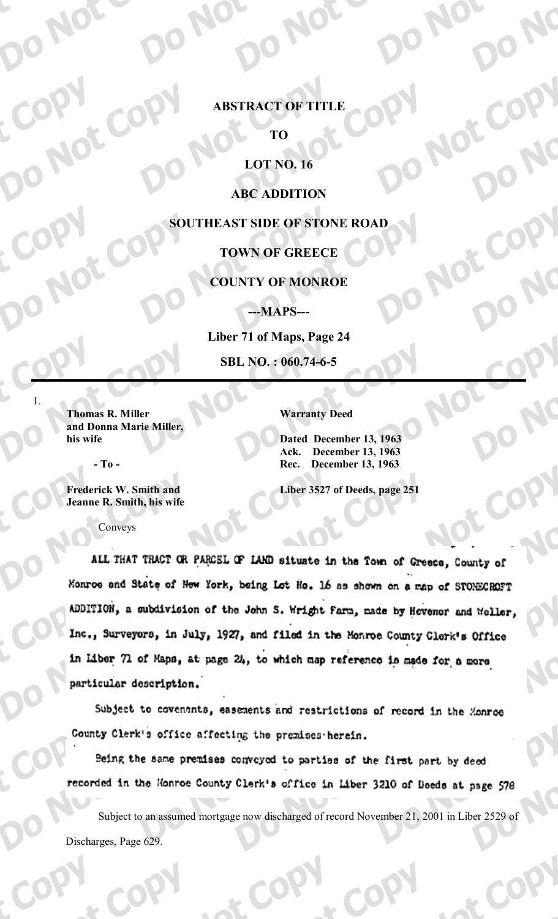## **ABSTRACT OF TITLE**

TО

# **LOT NO. 16**

**ABC ADDITION** 

SOUTHEAST SIDE OF STONE ROAD

# **TOWN OF GREECE**

### **COUNTY OF MONROE**

---MAPS---

Liber 71 of Maps, Page 24 SBL NO.: 060.74-6-5

**Thomas R. Miller** and Donna Marie Miller, his wife

**Warranty Deed** 

Dated December 13, 1963 **December 13, 1963** Ack. **December 13, 1963** Rec.

- To -

**Frederick W. Smith and** Jeanne R. Smith, his wife Liber 3527 of Deeds, page 251

Conveys

ALL THAT TRACT OR PARCEL OF LAND situate in the Town of Greece, County of Monroe and State of New York, being Lot No. 16 as shown on a map of STONECROPT ADDITION, a subdivision of the John S. Wright farm, made by Hovenor and Weller, Inc., Surveyors, in July, 1927, and filed in the Monroe County Clerk's Office in Liber 71 of Maps, at page 24, to which map reference is made for a more particular description.

Subject to covenants, easements and restrictions of record in the Zonroe County Clerk's office affecting the premises herein.

Being the same premises conveyed to parties of the first part by deed recorded in the Monroe County Clerk's office in Liber 3210 of Deeds at page 578

Subject to an assumed mortgage now discharged of record November 21, 2001 in Liber 2529 of Discharges, Page 629.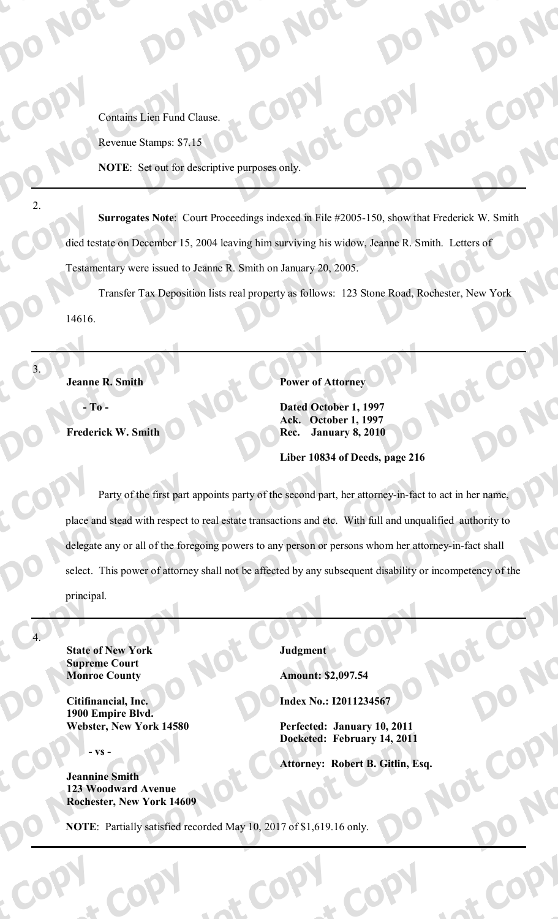**Contains Lien Fund Clause.** 

Revenue Stamps: \$7.15

NOTE: Set out for descriptive purposes only.

Surrogates Note: Court Proceedings indexed in File #2005-150, show that Frederick W. Smith died testate on December 15, 2004 leaving him surviving his widow, Jeanne R. Smith. Letters of Testamentary were issued to Jeanne R. Smith on January 20, 2005.

Transfer Tax Deposition lists real property as follows: 123 Stone Road, Rochester, New York 14616.

**Jeanne R. Smith** 

 $-$  To  $-$ 

 $\overline{2}$ 

 $\overline{\mathcal{L}}$ 

Frederick W. Smith

**Power of Attorney** 

Dated October 1, 1997 **Ack.** October 1, 1997 **Rec.** January 8, 2010

Liber 10834 of Deeds, page 216

Party of the first part appoints party of the second part, her attorney-in-fact to act in her name, place and stead with respect to real estate transactions and etc. With full and unqualified authority to delegate any or all of the foregoing powers to any person or persons whom her attorney-in-fact shall select. This power of attorney shall not be affected by any subsequent disability or incompetency of the principal.

**State of New York Supreme Court Monroe County** 

Citifinancial, Inc. 1900 Empire Blvd. Webster, New York 14580

**VS** 

**Jeannine Smith 123 Woodward Avenue Rochester, New York 14609**  Judgment

**Amount: \$2,097.54** 

**Index No.: I2011234567** 

Perfected: January 10, 2011 Docketed: February 14, 2011

**Attorney: Robert B. Gitlin, Esq.** 

NOTE: Partially satisfied recorded May 10, 2017 of \$1,619.16 only.